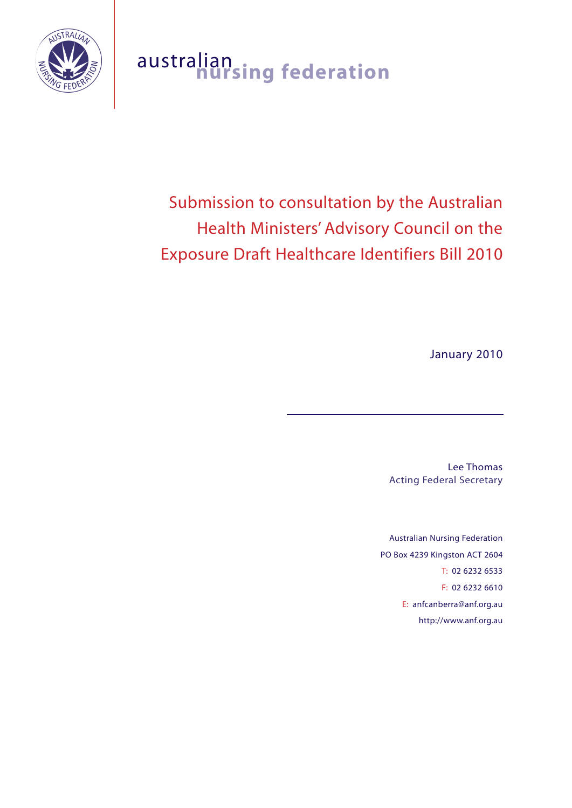

# australian **nursing federation**

# Submission to consultation by the Australian Health Ministers' Advisory Council on the Exposure Draft Healthcare Identifiers Bill 2010

January 2010

Lee Thomas Acting Federal Secretary

Australian Nursing Federation PO Box 4239 Kingston ACT 2604 T: 02 6232 6533 F: 02 6232 6610 E: anfcanberra@anf.org.au http://www.anf.org.au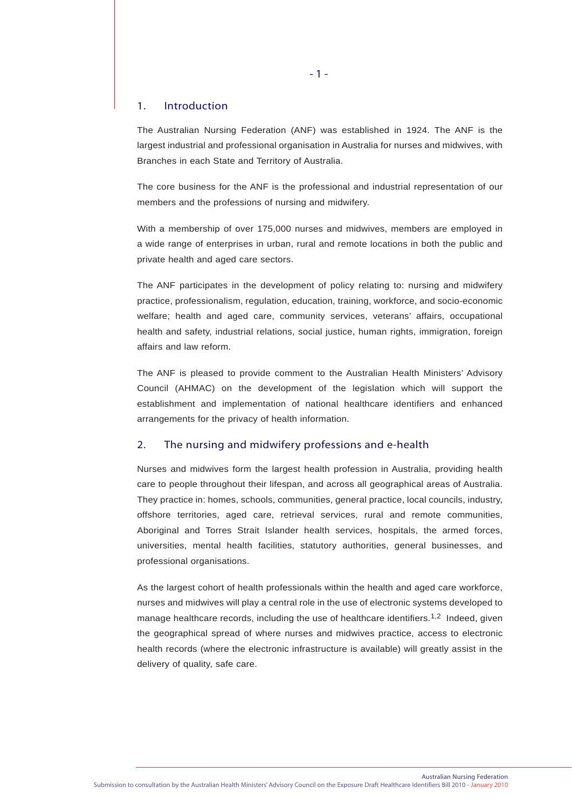### 1. Introduction

The Australian Nursing Federation (ANF) was established in 1924. The ANF is the largest industrial and professional organisation in Australia for nurses and midwives, with Branches in each State and Territory of Australia.

The core business for the ANF is the professional and industrial representation of our members and the professions of nursing and midwifery.

With a membership of over 175,000 nurses and midwives, members are employed in a wide range of enterprises in urban, rural and remote locations in both the public and private health and aged care sectors.

The ANF participates in the development of policy relating to: nursing and midwifery practice, professionalism, regulation, education, training, workforce, and socio-economic welfare; health and aged care, community services, veterans' affairs, occupational health and safety, industrial relations, social justice, human rights, immigration, foreign affairs and law reform.

The ANF is pleased to provide comment to the Australian Health Ministers' Advisory Council (AHMAC) on the development of the legislation which will support the establishment and implementation of national healthcare identifiers and enhanced arrangements for the privacy of health information.

#### 2. The nursing and midwifery professions and e-health

Nurses and midwives form the largest health profession in Australia, providing health care to people throughout their lifespan, and across all geographical areas of Australia. They practice in: homes, schools, communities, general practice, local councils, industry, offshore territories, aged care, retrieval services, rural and remote communities, Aboriginal and Torres Strait Islander health services, hospitals, the armed forces, universities, mental health facilities, statutory authorities, general businesses, and professional organisations.

As the largest cohort of health professionals within the health and aged care workforce, nurses and midwives will play a central role in the use of electronic systems developed to manage healthcare records, including the use of healthcare identifiers.<sup>1,2</sup> Indeed, given the geographical spread of where nurses and midwives practice, access to electronic health records (where the electronic infrastructure is available) will greatly assist in the delivery of quality, safe care.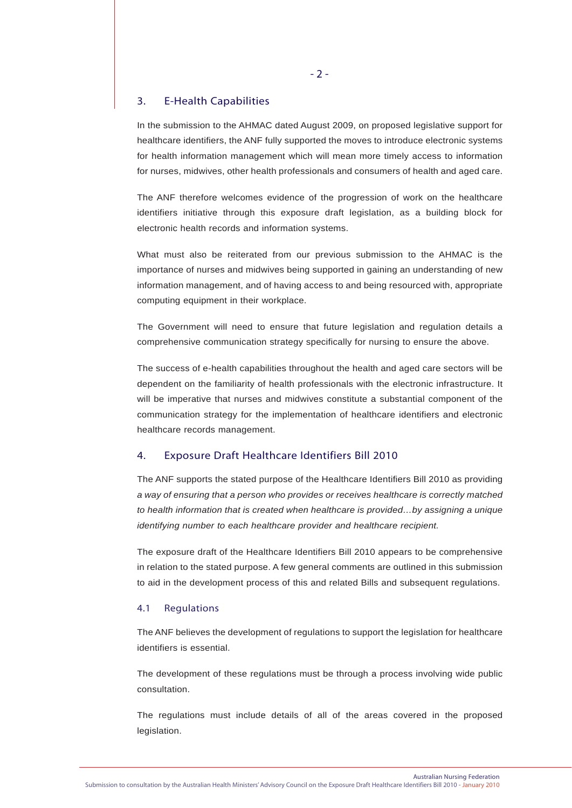## 3. E-Health Capabilities

In the submission to the AHMAC dated August 2009, on proposed legislative support for healthcare identifiers, the ANF fully supported the moves to introduce electronic systems for health information management which will mean more timely access to information for nurses, midwives, other health professionals and consumers of health and aged care.

The ANF therefore welcomes evidence of the progression of work on the healthcare identifiers initiative through this exposure draft legislation, as a building block for electronic health records and information systems.

What must also be reiterated from our previous submission to the AHMAC is the importance of nurses and midwives being supported in gaining an understanding of new information management, and of having access to and being resourced with, appropriate computing equipment in their workplace.

The Government will need to ensure that future legislation and regulation details a comprehensive communication strategy specifically for nursing to ensure the above.

The success of e-health capabilities throughout the health and aged care sectors will be dependent on the familiarity of health professionals with the electronic infrastructure. It will be imperative that nurses and midwives constitute a substantial component of the communication strategy for the implementation of healthcare identifiers and electronic healthcare records management.

#### 4. Exposure Draft Healthcare Identifiers Bill 2010

The ANF supports the stated purpose of the Healthcare Identifiers Bill 2010 as providing *a way of ensuring that a person who provides or receives healthcare is correctly matched to health information that is created when healthcare is provided…by assigning a unique identifying number to each healthcare provider and healthcare recipient.*

The exposure draft of the Healthcare Identifiers Bill 2010 appears to be comprehensive in relation to the stated purpose. A few general comments are outlined in this submission to aid in the development process of this and related Bills and subsequent regulations.

#### 4.1 Regulations

The ANF believes the development of regulations to support the legislation for healthcare identifiers is essential.

The development of these regulations must be through a process involving wide public consultation.

The regulations must include details of all of the areas covered in the proposed legislation.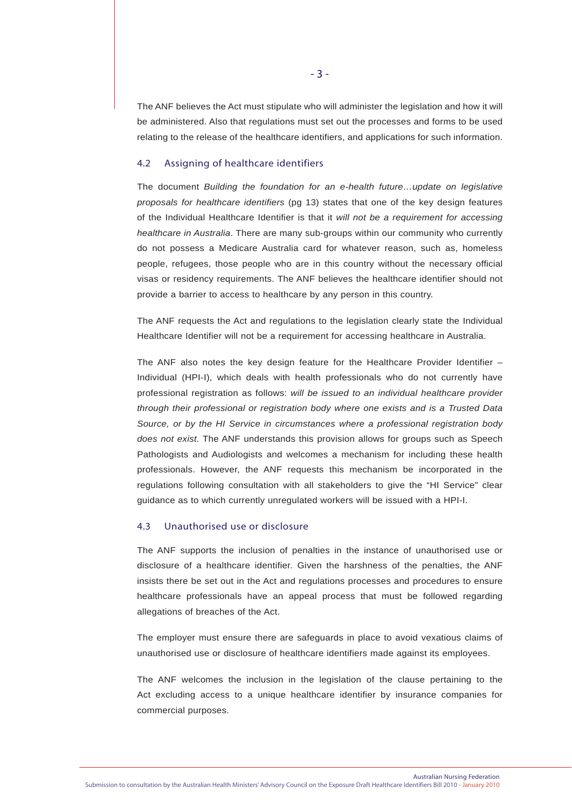The ANF believes the Act must stipulate who will administer the legislation and how it will be administered. Also that regulations must set out the processes and forms to be used relating to the release of the healthcare identifiers, and applications for such information.

#### 4.2 Assigning of healthcare identifiers

The document *Building the foundation for an e-health future…update on legislative proposals for healthcare identifiers* (pg 13) states that one of the key design features of the Individual Healthcare Identifier is that it *will not be a requirement for accessing healthcare in Australia*. There are many sub-groups within our community who currently do not possess a Medicare Australia card for whatever reason, such as, homeless people, refugees, those people who are in this country without the necessary official visas or residency requirements. The ANF believes the healthcare identifier should not provide a barrier to access to healthcare by any person in this country.

The ANF requests the Act and regulations to the legislation clearly state the Individual Healthcare Identifier will not be a requirement for accessing healthcare in Australia.

The ANF also notes the key design feature for the Healthcare Provider Identifier  $-$ Individual (HPI-I), which deals with health professionals who do not currently have professional registration as follows: *will be issued to an individual healthcare provider through their professional or registration body where one exists and is a Trusted Data Source, or by the HI Service in circumstances where a professional registration body does not exist.* The ANF understands this provision allows for groups such as Speech Pathologists and Audiologists and welcomes a mechanism for including these health professionals. However, the ANF requests this mechanism be incorporated in the regulations following consultation with all stakeholders to give the "HI Service" clear guidance as to which currently unregulated workers will be issued with a HPI-I.

#### 4.3 Unauthorised use or disclosure

The ANF supports the inclusion of penalties in the instance of unauthorised use or disclosure of a healthcare identifier. Given the harshness of the penalties, the ANF insists there be set out in the Act and regulations processes and procedures to ensure healthcare professionals have an appeal process that must be followed regarding allegations of breaches of the Act.

The employer must ensure there are safeguards in place to avoid vexatious claims of unauthorised use or disclosure of healthcare identifiers made against its employees.

The ANF welcomes the inclusion in the legislation of the clause pertaining to the Act excluding access to a unique healthcare identifier by insurance companies for commercial purposes.

- 3 -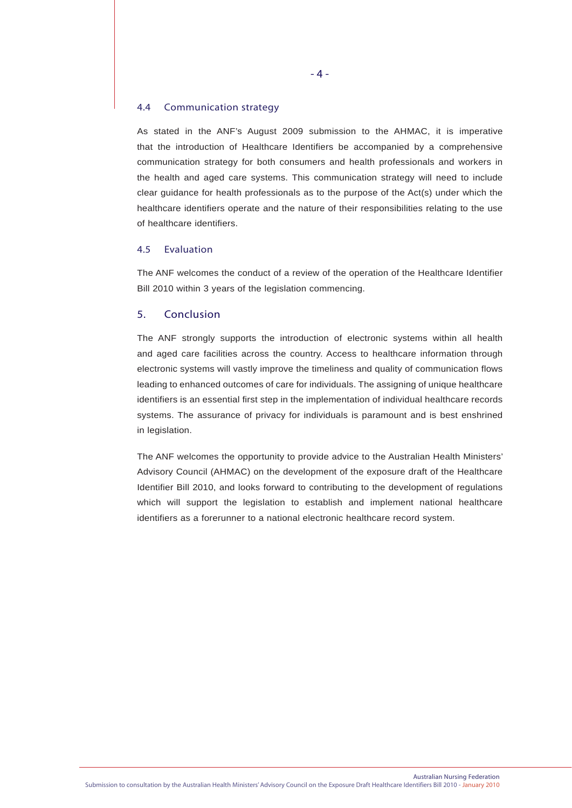#### 4.4 Communication strategy

As stated in the ANF's August 2009 submission to the AHMAC, it is imperative that the introduction of Healthcare Identifiers be accompanied by a comprehensive communication strategy for both consumers and health professionals and workers in the health and aged care systems. This communication strategy will need to include clear guidance for health professionals as to the purpose of the Act(s) under which the healthcare identifiers operate and the nature of their responsibilities relating to the use of healthcare identifiers.

#### 4.5 Evaluation

The ANF welcomes the conduct of a review of the operation of the Healthcare Identifier Bill 2010 within 3 years of the legislation commencing.

#### 5. Conclusion

The ANF strongly supports the introduction of electronic systems within all health and aged care facilities across the country. Access to healthcare information through electronic systems will vastly improve the timeliness and quality of communication flows leading to enhanced outcomes of care for individuals. The assigning of unique healthcare identifiers is an essential first step in the implementation of individual healthcare records systems. The assurance of privacy for individuals is paramount and is best enshrined in legislation.

The ANF welcomes the opportunity to provide advice to the Australian Health Ministers' Advisory Council (AHMAC) on the development of the exposure draft of the Healthcare Identifier Bill 2010, and looks forward to contributing to the development of regulations which will support the legislation to establish and implement national healthcare identifiers as a forerunner to a national electronic healthcare record system.

- 4 -